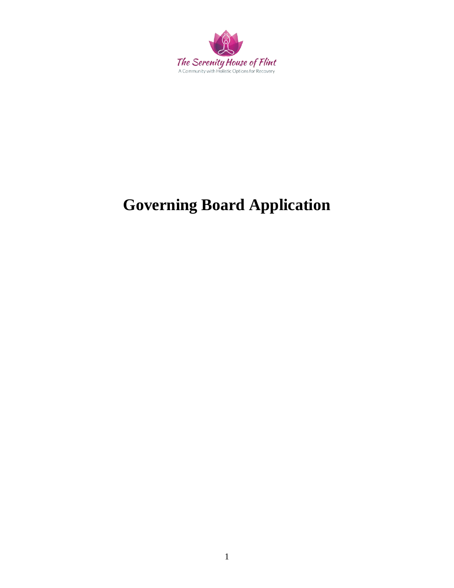

# **Governing Board Application**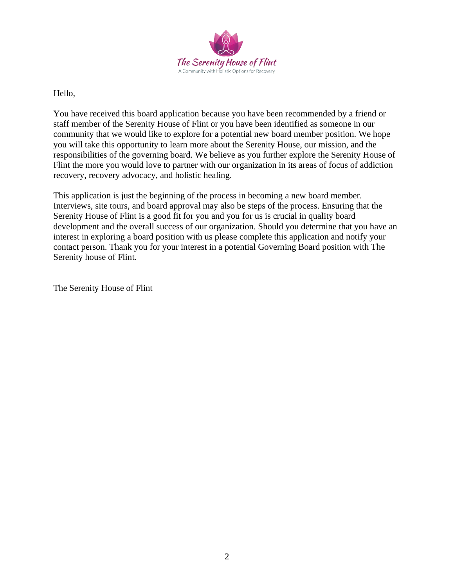

Hello,

You have received this board application because you have been recommended by a friend or staff member of the Serenity House of Flint or you have been identified as someone in our community that we would like to explore for a potential new board member position. We hope you will take this opportunity to learn more about the Serenity House, our mission, and the responsibilities of the governing board. We believe as you further explore the Serenity House of Flint the more you would love to partner with our organization in its areas of focus of addiction recovery, recovery advocacy, and holistic healing.

This application is just the beginning of the process in becoming a new board member. Interviews, site tours, and board approval may also be steps of the process. Ensuring that the Serenity House of Flint is a good fit for you and you for us is crucial in quality board development and the overall success of our organization. Should you determine that you have an interest in exploring a board position with us please complete this application and notify your contact person. Thank you for your interest in a potential Governing Board position with The Serenity house of Flint.

The Serenity House of Flint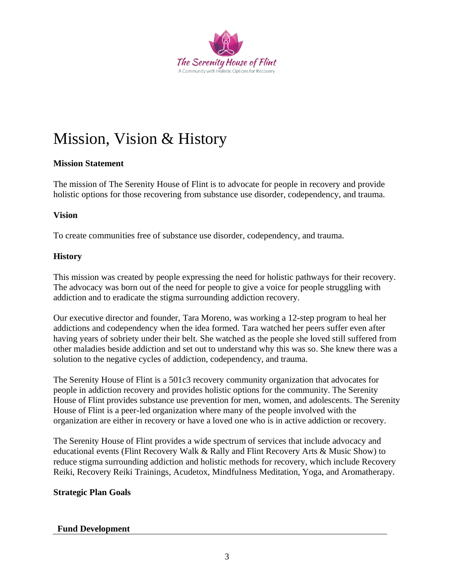

## Mission, Vision & History

## **Mission Statement**

The mission of The Serenity House of Flint is to advocate for people in recovery and provide holistic options for those recovering from substance use disorder, codependency, and trauma.

## **Vision**

To create communities free of substance use disorder, codependency, and trauma.

## **History**

This mission was created by people expressing the need for holistic pathways for their recovery. The advocacy was born out of the need for people to give a voice for people struggling with addiction and to eradicate the stigma surrounding addiction recovery.

Our executive director and founder, Tara Moreno, was working a 12-step program to heal her addictions and codependency when the idea formed. Tara watched her peers suffer even after having years of sobriety under their belt. She watched as the people she loved still suffered from other maladies beside addiction and set out to understand why this was so. She knew there was a solution to the negative cycles of addiction, codependency, and trauma.

The Serenity House of Flint is a 501c3 recovery community organization that advocates for people in addiction recovery and provides holistic options for the community. The Serenity House of Flint provides substance use prevention for men, women, and adolescents. The Serenity House of Flint is a peer-led organization where many of the people involved with the organization are either in recovery or have a loved one who is in active addiction or recovery.

The Serenity House of Flint provides a wide spectrum of services that include advocacy and educational events (Flint Recovery Walk & Rally and Flint Recovery Arts & Music Show) to reduce stigma surrounding addiction and holistic methods for recovery, which include Recovery Reiki, Recovery Reiki Trainings, Acudetox, Mindfulness Meditation, Yoga, and Aromatherapy.

## **Strategic Plan Goals**

## **Fund Development**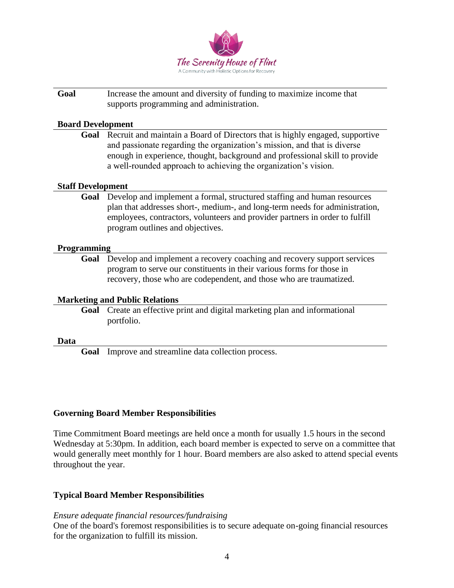

**Goal** Increase the amount and diversity of funding to maximize income that supports programming and administration.

#### **Board Development**

**Goal** Recruit and maintain a Board of Directors that is highly engaged, supportive and passionate regarding the organization's mission, and that is diverse enough in experience, thought, background and professional skill to provide a well-rounded approach to achieving the organization's vision.

#### **Staff Development**

**Goal** Develop and implement a formal, structured staffing and human resources plan that addresses short-, medium-, and long-term needs for administration, employees, contractors, volunteers and provider partners in order to fulfill program outlines and objectives.

#### **Programming**

**Goal** Develop and implement a recovery coaching and recovery support services program to serve our constituents in their various forms for those in recovery, those who are codependent, and those who are traumatized.

#### **Marketing and Public Relations**

**Goal** Create an effective print and digital marketing plan and informational portfolio.

#### **Data**

**Goal** Improve and streamline data collection process.

## **Governing Board Member Responsibilities**

Time Commitment Board meetings are held once a month for usually 1.5 hours in the second Wednesday at 5:30pm. In addition, each board member is expected to serve on a committee that would generally meet monthly for 1 hour. Board members are also asked to attend special events throughout the year.

## **Typical Board Member Responsibilities**

#### *Ensure adequate financial resources/fundraising*

One of the board's foremost responsibilities is to secure adequate on-going financial resources for the organization to fulfill its mission.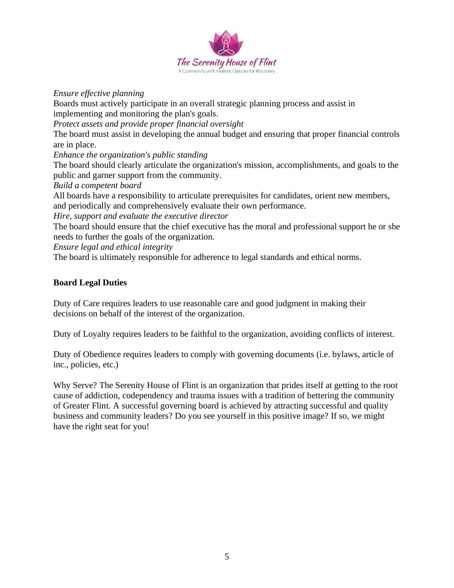

*Ensure effective planning*

Boards must actively participate in an overall strategic planning process and assist in implementing and monitoring the plan's goals.

*Protect assets and provide proper financial oversight* 

The board must assist in developing the annual budget and ensuring that proper financial controls are in place.

*Enhance the organization's public standing*

The board should clearly articulate the organization's mission, accomplishments, and goals to the public and garner support from the community.

*Build a competent board* 

All boards have a responsibility to articulate prerequisites for candidates, orient new members, and periodically and comprehensively evaluate their own performance.

*Hire, support and evaluate the executive director*

The board should ensure that the chief executive has the moral and professional support he or she needs to further the goals of the organization.

*Ensure legal and ethical integrity*

The board is ultimately responsible for adherence to legal standards and ethical norms.

## **Board Legal Duties**

Duty of Care requires leaders to use reasonable care and good judgment in making their decisions on behalf of the interest of the organization.

Duty of Loyalty requires leaders to be faithful to the organization, avoiding conflicts of interest.

Duty of Obedience requires leaders to comply with governing documents (i.e. bylaws, article of inc., policies, etc.)

Why Serve? The Serenity House of Flint is an organization that prides itself at getting to the root cause of addiction, codependency and trauma issues with a tradition of bettering the community of Greater Flint. A successful governing board is achieved by attracting successful and quality business and community leaders? Do you see yourself in this positive image? If so, we might have the right seat for you!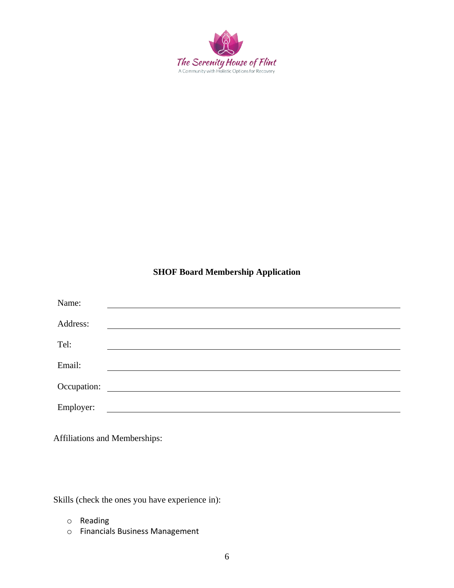

## **SHOF Board Membership Application**

| Name:       |  |
|-------------|--|
|             |  |
| Address:    |  |
| Tel:        |  |
|             |  |
| Email:      |  |
| Occupation: |  |
|             |  |
| Employer:   |  |

Affiliations and Memberships:

Skills (check the ones you have experience in):

- o Reading
- o Financials Business Management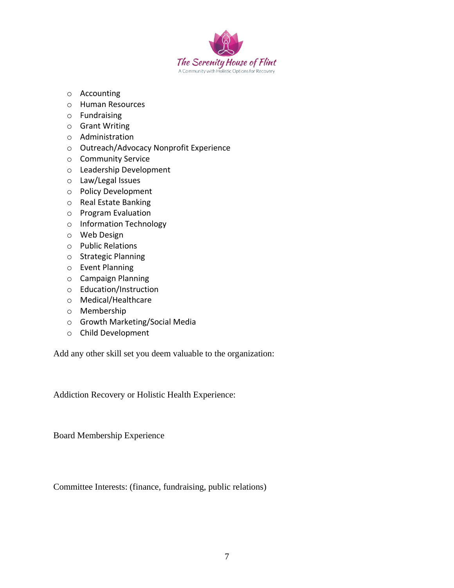

- o Accounting
- o Human Resources
- o Fundraising
- o Grant Writing
- o Administration
- o Outreach/Advocacy Nonprofit Experience
- o Community Service
- o Leadership Development
- o Law/Legal Issues
- o Policy Development
- o Real Estate Banking
- o Program Evaluation
- o Information Technology
- o Web Design
- o Public Relations
- o Strategic Planning
- o Event Planning
- o Campaign Planning
- o Education/Instruction
- o Medical/Healthcare
- o Membership
- o Growth Marketing/Social Media
- o Child Development

Add any other skill set you deem valuable to the organization:

Addiction Recovery or Holistic Health Experience:

Board Membership Experience

Committee Interests: (finance, fundraising, public relations)